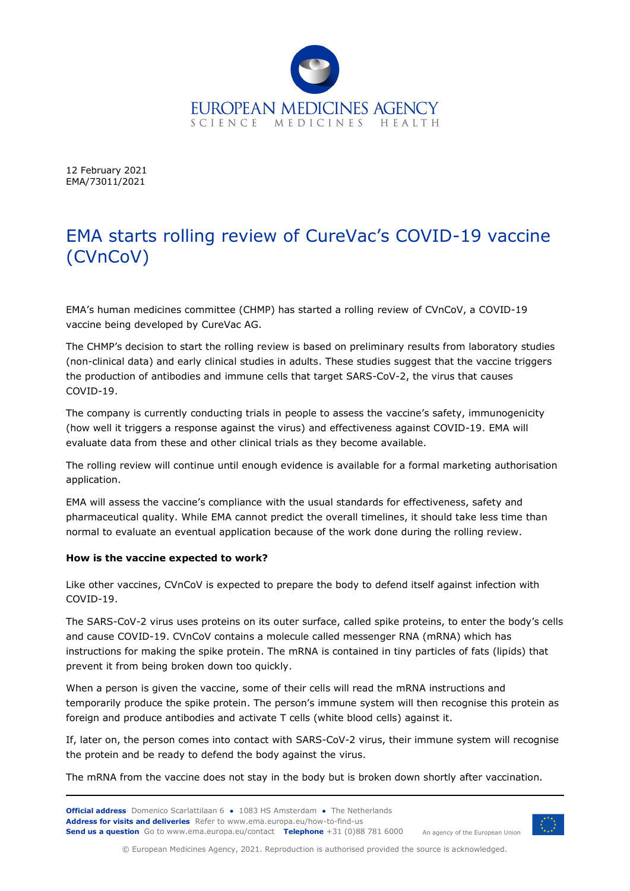

12 February 2021 EMA/73011/2021

## EMA starts rolling review of CureVac's COVID-19 vaccine (CVnCoV)

EMA's human medicines committee (CHMP) has started a rolling review of CVnCoV, a COVID-19 vaccine being developed by CureVac AG.

The CHMP's decision to start the rolling review is based on preliminary results from laboratory studies (non-clinical data) and early clinical studies in adults. These studies suggest that the vaccine triggers the production of antibodies and immune cells that target SARS-CoV-2, the virus that causes COVID-19.

The company is currently conducting trials in people to assess the vaccine's safety, immunogenicity (how well it triggers a response against the virus) and effectiveness against COVID-19. EMA will evaluate data from these and other clinical trials as they become available.

The rolling review will continue until enough evidence is available for a formal marketing authorisation application.

EMA will assess the vaccine's compliance with the usual standards for effectiveness, safety and pharmaceutical quality. While EMA cannot predict the overall timelines, it should take less time than normal to evaluate an eventual application because of the work done during the rolling review.

## **How is the vaccine expected to work?**

Like other vaccines, CVnCoV is expected to prepare the body to defend itself against infection with COVID-19.

The SARS-CoV-2 virus uses proteins on its outer surface, called spike proteins, to enter the body's cells and cause COVID-19. CVnCoV contains a molecule called messenger RNA (mRNA) which has instructions for making the spike protein. The mRNA is contained in tiny particles of fats (lipids) that prevent it from being broken down too quickly.

When a person is given the vaccine, some of their cells will read the mRNA instructions and temporarily produce the spike protein. The person's immune system will then recognise this protein as foreign and produce antibodies and activate T cells (white blood cells) against it.

If, later on, the person comes into contact with SARS-CoV-2 virus, their immune system will recognise the protein and be ready to defend the body against the virus.

The mRNA from the vaccine does not stay in the body but is broken down shortly after vaccination.



An agency of the European Union

© European Medicines Agency, 2021. Reproduction is authorised provided the source is acknowledged.